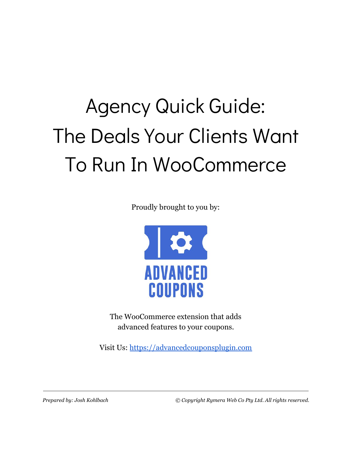# Agency Quick Guide: The Deals Your Clients Want To Run In WooCommerce

Proudly brought to you by:



The WooCommerce extension that adds advanced features to your coupons.

Visit Us: [https://advancedcouponsplugin.com](https://advancedcouponsplugin.com/?utm_source=AdvancedCoupons&utm_medium=PDF&utm_campaign=WholesaleSuite&utm_content=AgencyGuidePDF)

*Prepared by: Josh Kohlbach © Copyright Rymera Web Co Pty Ltd. All rights reserved.*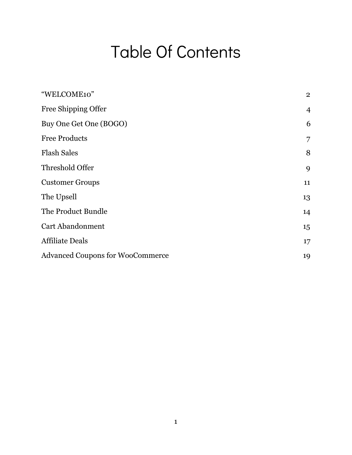### Table Of Contents

| "WELCOME10"                             | $\overline{2}$ |
|-----------------------------------------|----------------|
| Free Shipping Offer                     | $\overline{4}$ |
| Buy One Get One (BOGO)                  | 6              |
| <b>Free Products</b>                    | $\overline{7}$ |
| <b>Flash Sales</b>                      | 8              |
| Threshold Offer                         | 9              |
| <b>Customer Groups</b>                  | 11             |
| The Upsell                              | 13             |
| The Product Bundle                      | 14             |
| <b>Cart Abandonment</b>                 | 15             |
| <b>Affiliate Deals</b>                  | 17             |
| <b>Advanced Coupons for WooCommerce</b> | 19             |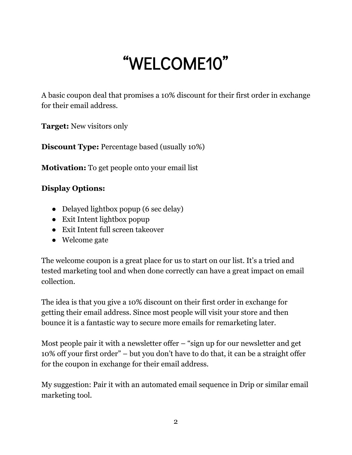# "WELCOME10"

<span id="page-2-0"></span>A basic coupon deal that promises a 10% discount for their first order in exchange for their email address.

**Target:** New visitors only

**Discount Type:** Percentage based (usually 10%)

**Motivation:** To get people onto your email list

#### **Display Options:**

- Delayed lightbox popup (6 sec delay)
- Exit Intent lightbox popup
- Exit Intent full screen takeover
- Welcome gate

The welcome coupon is a great place for us to start on our list. It's a tried and tested marketing tool and when done correctly can have a great impact on email collection.

The idea is that you give a 10% discount on their first order in exchange for getting their email address. Since most people will visit your store and then bounce it is a fantastic way to secure more emails for remarketing later.

Most people pair it with a newsletter offer – "sign up for our newsletter and get 10% off your first order" – but you don't have to do that, it can be a straight offer for the coupon in exchange for their email address.

My suggestion: Pair it with an automated email sequence in Drip or similar email marketing tool.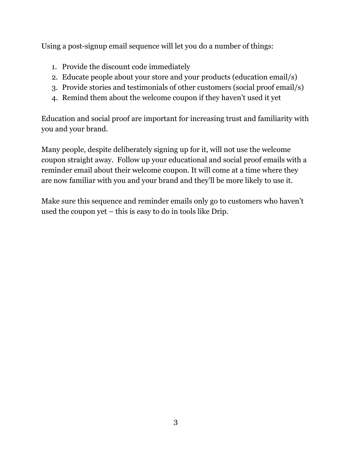Using a post-signup email sequence will let you do a number of things:

- 1. Provide the discount code immediately
- 2. Educate people about your store and your products (education email/s)
- 3. Provide stories and testimonials of other customers (social proof email/s)
- 4. Remind them about the welcome coupon if they haven't used it yet

Education and social proof are important for increasing trust and familiarity with you and your brand.

Many people, despite deliberately signing up for it, will not use the welcome coupon straight away. Follow up your educational and social proof emails with a reminder email about their welcome coupon. It will come at a time where they are now familiar with you and your brand and they'll be more likely to use it.

Make sure this sequence and reminder emails only go to customers who haven't used the coupon yet – this is easy to do in tools like Drip.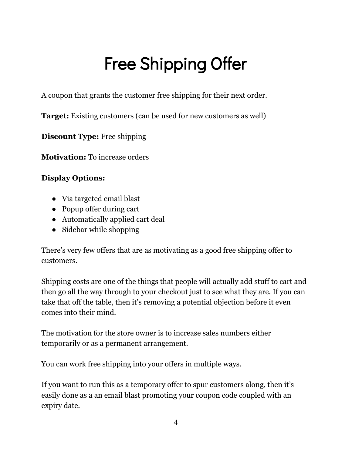# Free Shipping Offer

<span id="page-4-0"></span>A coupon that grants the customer free shipping for their next order.

**Target:** Existing customers (can be used for new customers as well)

**Discount Type:** Free shipping

**Motivation:** To increase orders

#### **Display Options:**

- Via targeted email blast
- Popup offer during cart
- Automatically applied cart deal
- Sidebar while shopping

There's very few offers that are as motivating as a good free shipping offer to customers.

Shipping costs are one of the things that people will actually add stuff to cart and then go all the way through to your checkout just to see what they are. If you can take that off the table, then it's removing a potential objection before it even comes into their mind.

The motivation for the store owner is to increase sales numbers either temporarily or as a permanent arrangement.

You can work free shipping into your offers in multiple ways.

If you want to run this as a temporary offer to spur customers along, then it's easily done as a an email blast promoting your coupon code coupled with an expiry date.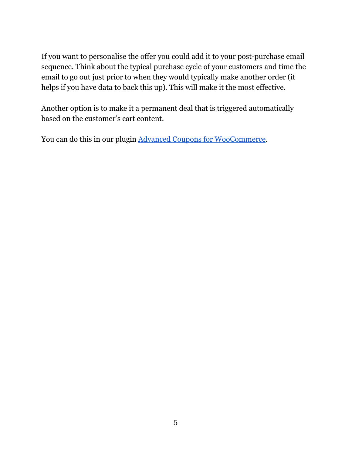If you want to personalise the offer you could add it to your post-purchase email sequence. Think about the typical purchase cycle of your customers and time the email to go out just prior to when they would typically make another order (it helps if you have data to back this up). This will make it the most effective.

Another option is to make it a permanent deal that is triggered automatically based on the customer's cart content.

You can do this in our plugin Advanced Coupons for [WooCommerce](https://advancedcouponsplugin.com/?utm_source=AdvancedCoupons&utm_medium=PDF&utm_campaign=WholesaleSuite&utm_content=AgencyGuidePDF).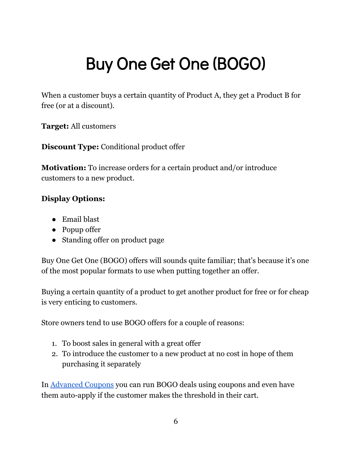# <span id="page-6-0"></span>Buy One Get One (BOGO)

When a customer buys a certain quantity of Product A, they get a Product B for free (or at a discount).

**Target:** All customers

**Discount Type:** Conditional product offer

**Motivation:** To increase orders for a certain product and/or introduce customers to a new product.

#### **Display Options:**

- Email blast
- Popup offer
- Standing offer on product page

Buy One Get One (BOGO) offers will sounds quite familiar; that's because it's one of the most popular formats to use when putting together an offer.

Buying a certain quantity of a product to get another product for free or for cheap is very enticing to customers.

Store owners tend to use BOGO offers for a couple of reasons:

- 1. To boost sales in general with a great offer
- 2. To introduce the customer to a new product at no cost in hope of them purchasing it separately

In [Advanced](https://advancedcouponsplugin.com/?utm_source=AdvancedCoupons&utm_medium=PDF&utm_campaign=WholesaleSuite&utm_content=AgencyGuidePDF) Coupons you can run BOGO deals using coupons and even have them auto-apply if the customer makes the threshold in their cart.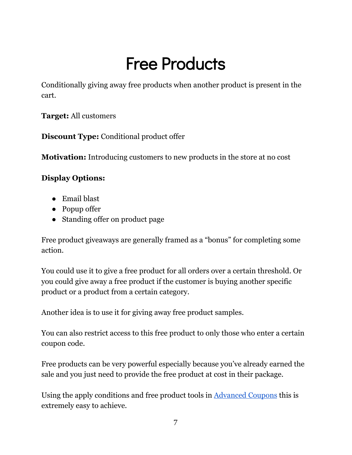### Free Products

<span id="page-7-0"></span>Conditionally giving away free products when another product is present in the cart.

**Target:** All customers

**Discount Type:** Conditional product offer

**Motivation:** Introducing customers to new products in the store at no cost

#### **Display Options:**

- Email blast
- Popup offer
- Standing offer on product page

Free product giveaways are generally framed as a "bonus" for completing some action.

You could use it to give a free product for all orders over a certain threshold. Or you could give away a free product if the customer is buying another specific product or a product from a certain category.

Another idea is to use it for giving away free product samples.

You can also restrict access to this free product to only those who enter a certain coupon code.

Free products can be very powerful especially because you've already earned the sale and you just need to provide the free product at cost in their package.

Using the apply conditions and free product tools in [Advanced](https://advancedcouponsplugin.com/?utm_source=AdvancedCoupons&utm_medium=PDF&utm_campaign=WholesaleSuite&utm_content=AgencyGuidePDF) Coupons this is extremely easy to achieve.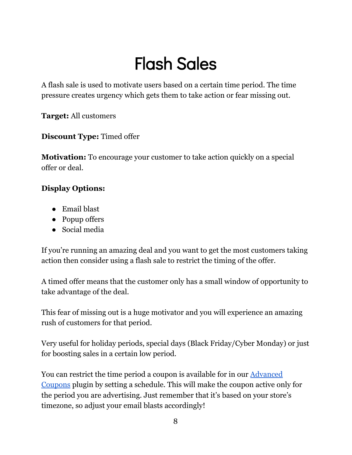# Flash Sales

<span id="page-8-0"></span>A flash sale is used to motivate users based on a certain time period. The time pressure creates urgency which gets them to take action or fear missing out.

**Target:** All customers

**Discount Type:** Timed offer

**Motivation:** To encourage your customer to take action quickly on a special offer or deal.

#### **Display Options:**

- Email blast
- Popup offers
- Social media

If you're running an amazing deal and you want to get the most customers taking action then consider using a flash sale to restrict the timing of the offer.

A timed offer means that the customer only has a small window of opportunity to take advantage of the deal.

This fear of missing out is a huge motivator and you will experience an amazing rush of customers for that period.

Very useful for holiday periods, special days (Black Friday/Cyber Monday) or just for boosting sales in a certain low period.

You can restrict the time period a coupon is available for in our **[Advanced](https://advancedcouponsplugin.com/?utm_source=AdvancedCoupons&utm_medium=PDF&utm_campaign=WholesaleSuite&utm_content=AgencyGuidePDF)** [Coupons](https://advancedcouponsplugin.com/?utm_source=AdvancedCoupons&utm_medium=PDF&utm_campaign=WholesaleSuite&utm_content=AgencyGuidePDF) plugin by setting a schedule. This will make the coupon active only for the period you are advertising. Just remember that it's based on your store's timezone, so adjust your email blasts accordingly!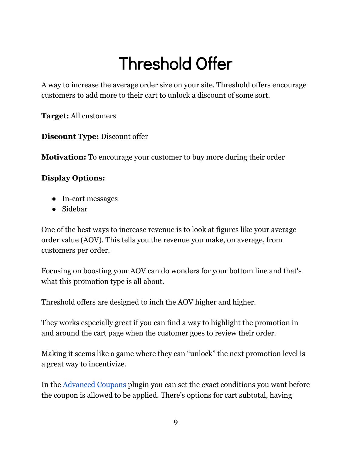# Threshold Offer

<span id="page-9-0"></span>A way to increase the average order size on your site. Threshold offers encourage customers to add more to their cart to unlock a discount of some sort.

**Target:** All customers

**Discount Type:** Discount offer

**Motivation:** To encourage your customer to buy more during their order

#### **Display Options:**

- In-cart messages
- Sidebar

One of the best ways to increase revenue is to look at figures like your average order value (AOV). This tells you the revenue you make, on average, from customers per order.

Focusing on boosting your AOV can do wonders for your bottom line and that's what this promotion type is all about.

Threshold offers are designed to inch the AOV higher and higher.

They works especially great if you can find a way to highlight the promotion in and around the cart page when the customer goes to review their order.

Making it seems like a game where they can "unlock" the next promotion level is a great way to incentivize.

In the [Advanced](https://advancedcouponsplugin.com/?utm_source=AdvancedCoupons&utm_medium=PDF&utm_campaign=WholesaleSuite&utm_content=AgencyGuidePDF) Coupons plugin you can set the exact conditions you want before the coupon is allowed to be applied. There's options for cart subtotal, having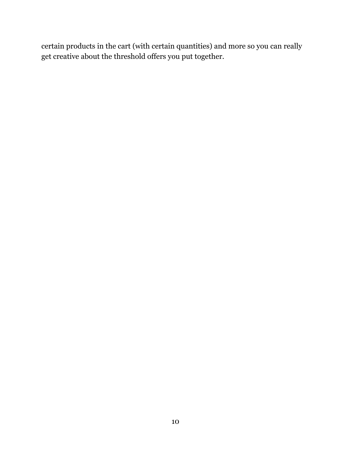certain products in the cart (with certain quantities) and more so you can really get creative about the threshold offers you put together.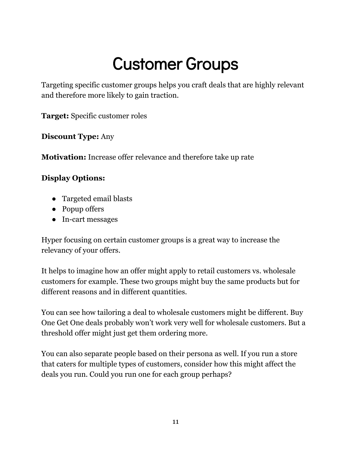### Customer Groups

<span id="page-11-0"></span>Targeting specific customer groups helps you craft deals that are highly relevant and therefore more likely to gain traction.

**Target:** Specific customer roles

**Discount Type:** Any

**Motivation:** Increase offer relevance and therefore take up rate

#### **Display Options:**

- Targeted email blasts
- Popup offers
- In-cart messages

Hyper focusing on certain customer groups is a great way to increase the relevancy of your offers.

It helps to imagine how an offer might apply to retail customers vs. wholesale customers for example. These two groups might buy the same products but for different reasons and in different quantities.

You can see how tailoring a deal to wholesale customers might be different. Buy One Get One deals probably won't work very well for wholesale customers. But a threshold offer might just get them ordering more.

You can also separate people based on their persona as well. If you run a store that caters for multiple types of customers, consider how this might affect the deals you run. Could you run one for each group perhaps?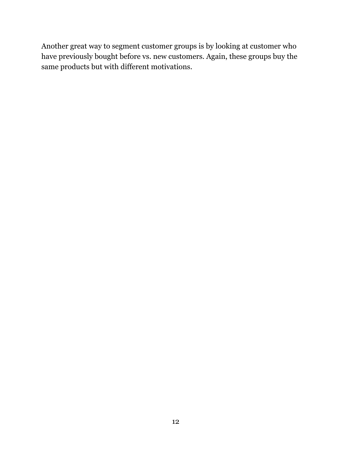Another great way to segment customer groups is by looking at customer who have previously bought before vs. new customers. Again, these groups buy the same products but with different motivations.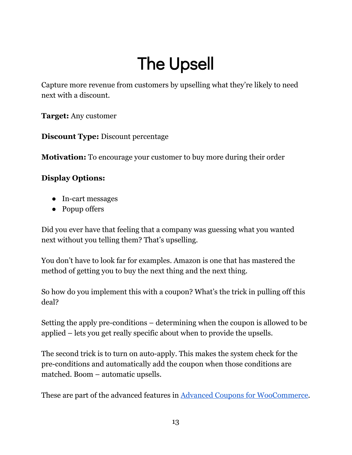# The Upsell

<span id="page-13-0"></span>Capture more revenue from customers by upselling what they're likely to need next with a discount.

**Target:** Any customer

**Discount Type:** Discount percentage

**Motivation:** To encourage your customer to buy more during their order

#### **Display Options:**

- In-cart messages
- Popup offers

Did you ever have that feeling that a company was guessing what you wanted next without you telling them? That's upselling.

You don't have to look far for examples. Amazon is one that has mastered the method of getting you to buy the next thing and the next thing.

So how do you implement this with a coupon? What's the trick in pulling off this deal?

Setting the apply pre-conditions – determining when the coupon is allowed to be applied – lets you get really specific about when to provide the upsells.

The second trick is to turn on auto-apply. This makes the system check for the pre-conditions and automatically add the coupon when those conditions are matched. Boom – automatic upsells.

These are part of the advanced features in Advanced Coupons for [WooCommerce](https://advancedcouponsplugin.com/?utm_source=AdvancedCoupons&utm_medium=PDF&utm_campaign=WholesaleSuite&utm_content=AgencyGuidePDF).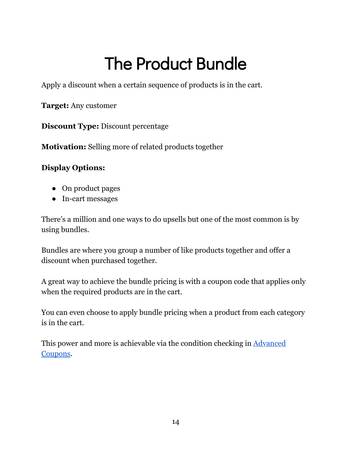# The Product Bundle

<span id="page-14-0"></span>Apply a discount when a certain sequence of products is in the cart.

**Target:** Any customer

**Discount Type:** Discount percentage

**Motivation:** Selling more of related products together

#### **Display Options:**

- On product pages
- In-cart messages

There's a million and one ways to do upsells but one of the most common is by using bundles.

Bundles are where you group a number of like products together and offer a discount when purchased together.

A great way to achieve the bundle pricing is with a coupon code that applies only when the required products are in the cart.

You can even choose to apply bundle pricing when a product from each category is in the cart.

This power and more is achievable via the condition checking in [Advanced](https://advancedcouponsplugin.com/?utm_source=AdvancedCoupons&utm_medium=PDF&utm_campaign=WholesaleSuite&utm_content=AgencyGuidePDF) [Coupons](https://advancedcouponsplugin.com/?utm_source=AdvancedCoupons&utm_medium=PDF&utm_campaign=WholesaleSuite&utm_content=AgencyGuidePDF).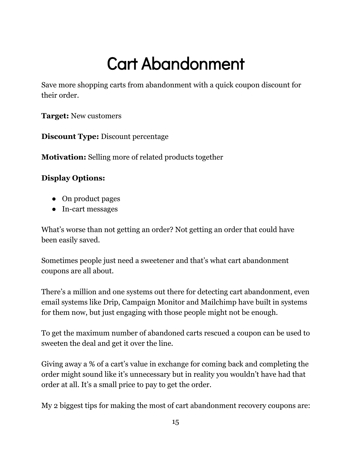# Cart Abandonment

<span id="page-15-0"></span>Save more shopping carts from abandonment with a quick coupon discount for their order.

**Target:** New customers

**Discount Type:** Discount percentage

**Motivation:** Selling more of related products together

#### **Display Options:**

- On product pages
- In-cart messages

What's worse than not getting an order? Not getting an order that could have been easily saved.

Sometimes people just need a sweetener and that's what cart abandonment coupons are all about.

There's a million and one systems out there for detecting cart abandonment, even email systems like Drip, Campaign Monitor and Mailchimp have built in systems for them now, but just engaging with those people might not be enough.

To get the maximum number of abandoned carts rescued a coupon can be used to sweeten the deal and get it over the line.

Giving away a % of a cart's value in exchange for coming back and completing the order might sound like it's unnecessary but in reality you wouldn't have had that order at all. It's a small price to pay to get the order.

My 2 biggest tips for making the most of cart abandonment recovery coupons are: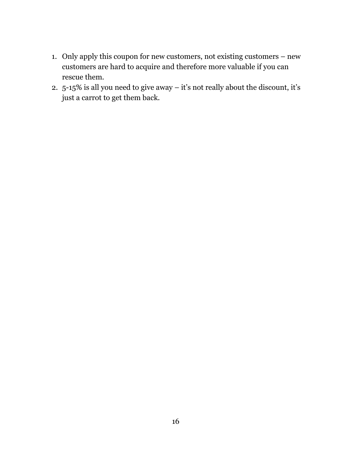- 1. Only apply this coupon for new customers, not existing customers new customers are hard to acquire and therefore more valuable if you can rescue them.
- 2. 5-15% is all you need to give away it's not really about the discount, it's just a carrot to get them back.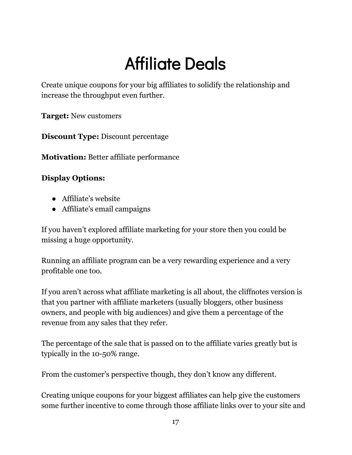# Affiliate Deals

<span id="page-17-0"></span>Create unique coupons for your big affiliates to solidify the relationship and increase the throughput even further.

**Target:** New customers

**Discount Type:** Discount percentage

**Motivation:** Better affiliate performance

#### **Display Options:**

- Affiliate's website
- Affiliate's email campaigns

If you haven't explored affiliate marketing for your store then you could be missing a huge opportunity.

Running an affiliate program can be a very rewarding experience and a very profitable one too.

If you aren't across what affiliate marketing is all about, the cliffnotes version is that you partner with affiliate marketers (usually bloggers, other business owners, and people with big audiences) and give them a percentage of the revenue from any sales that they refer.

The percentage of the sale that is passed on to the affiliate varies greatly but is typically in the 10-50% range.

From the customer's perspective though, they don't know any different.

Creating unique coupons for your biggest affiliates can help give the customers some further incentive to come through those affiliate links over to your site and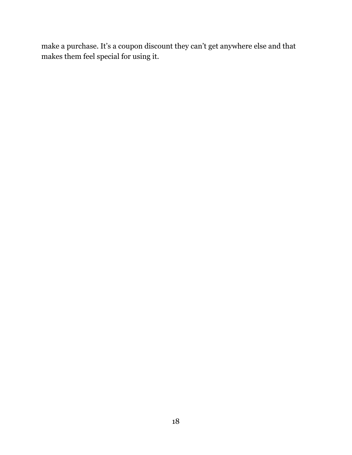make a purchase. It's a coupon discount they can't get anywhere else and that makes them feel special for using it.